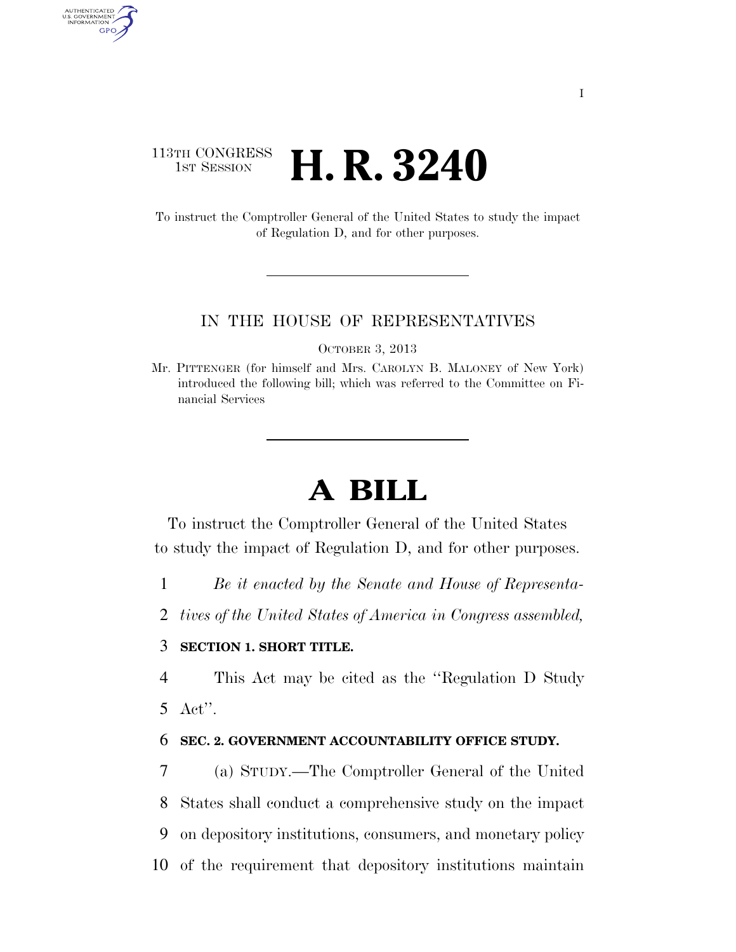## 113TH CONGRESS **1ST SESSION <b>H. R. 3240**

AUTHENTICATED<br>U.S. GOVERNMENT<br>INFORMATION GPO

> To instruct the Comptroller General of the United States to study the impact of Regulation D, and for other purposes.

#### IN THE HOUSE OF REPRESENTATIVES

OCTOBER 3, 2013

Mr. PITTENGER (for himself and Mrs. CAROLYN B. MALONEY of New York) introduced the following bill; which was referred to the Committee on Financial Services

# **A BILL**

To instruct the Comptroller General of the United States to study the impact of Regulation D, and for other purposes.

1 *Be it enacted by the Senate and House of Representa-*

2 *tives of the United States of America in Congress assembled,* 

### 3 **SECTION 1. SHORT TITLE.**

4 This Act may be cited as the ''Regulation D Study 5 Act''.

### 6 **SEC. 2. GOVERNMENT ACCOUNTABILITY OFFICE STUDY.**

 (a) STUDY.—The Comptroller General of the United States shall conduct a comprehensive study on the impact on depository institutions, consumers, and monetary policy of the requirement that depository institutions maintain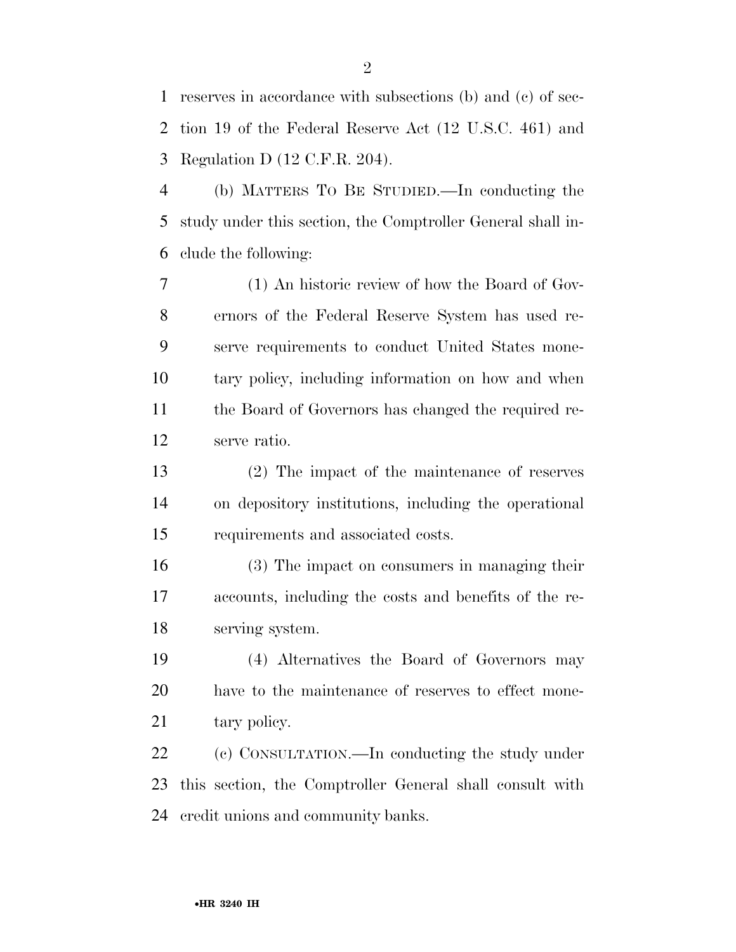reserves in accordance with subsections (b) and (c) of sec- tion 19 of the Federal Reserve Act (12 U.S.C. 461) and Regulation D (12 C.F.R. 204).

 (b) MATTERS TO BE STUDIED.—In conducting the study under this section, the Comptroller General shall in-clude the following:

 (1) An historic review of how the Board of Gov- ernors of the Federal Reserve System has used re- serve requirements to conduct United States mone- tary policy, including information on how and when the Board of Governors has changed the required re-serve ratio.

 (2) The impact of the maintenance of reserves on depository institutions, including the operational requirements and associated costs.

 (3) The impact on consumers in managing their accounts, including the costs and benefits of the re-serving system.

 (4) Alternatives the Board of Governors may have to the maintenance of reserves to effect mone-21 tary policy.

 (c) CONSULTATION.—In conducting the study under this section, the Comptroller General shall consult with credit unions and community banks.